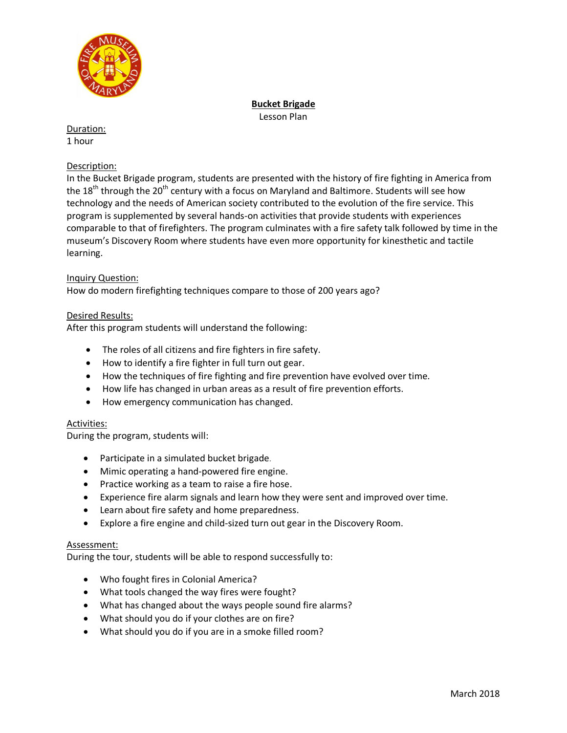

# **Bucket Brigade**

Lesson Plan

#### Duration: 1 hour

# Description:

In the Bucket Brigade program, students are presented with the history of fire fighting in America from the 18<sup>th</sup> through the 20<sup>th</sup> century with a focus on Maryland and Baltimore. Students will see how technology and the needs of American society contributed to the evolution of the fire service. This program is supplemented by several hands-on activities that provide students with experiences comparable to that of firefighters. The program culminates with a fire safety talk followed by time in the museum's Discovery Room where students have even more opportunity for kinesthetic and tactile learning.

### Inquiry Question:

How do modern firefighting techniques compare to those of 200 years ago?

### Desired Results:

After this program students will understand the following:

- The roles of all citizens and fire fighters in fire safety.
- How to identify a fire fighter in full turn out gear.
- How the techniques of fire fighting and fire prevention have evolved over time.
- How life has changed in urban areas as a result of fire prevention efforts.
- How emergency communication has changed.

#### Activities:

During the program, students will:

- Participate in a simulated bucket brigade.
- Mimic operating a hand-powered fire engine.
- Practice working as a team to raise a fire hose.
- Experience fire alarm signals and learn how they were sent and improved over time.
- Learn about fire safety and home preparedness.
- Explore a fire engine and child-sized turn out gear in the Discovery Room.

#### Assessment:

During the tour, students will be able to respond successfully to:

- Who fought fires in Colonial America?
- What tools changed the way fires were fought?
- What has changed about the ways people sound fire alarms?
- What should you do if your clothes are on fire?
- What should you do if you are in a smoke filled room?